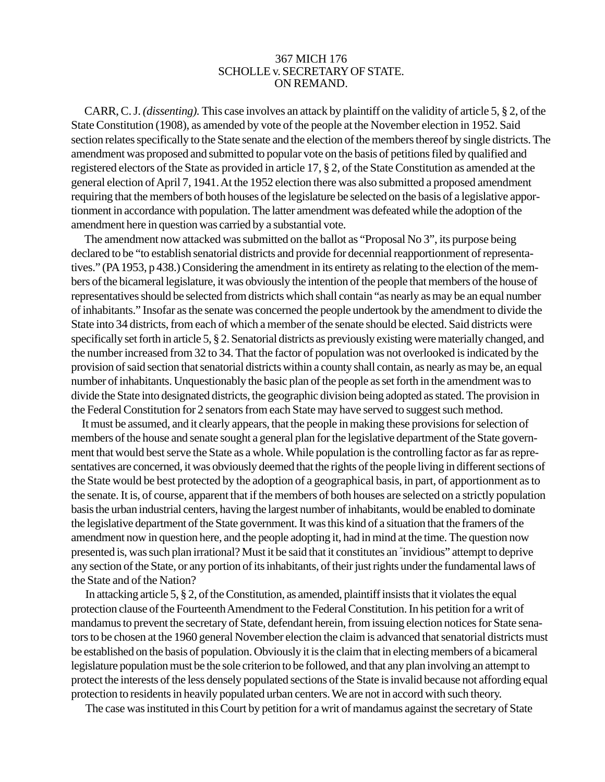## 367 MICH 176 SCHOLLE v. SECRETARY OF STATE. ON REMAND.

CARR, C. J. *(dissenting).* This case involves an attack by plaintiff on the validity of article 5, § 2, of the State Constitution (1908), as amended by vote of the people at the November election in 1952. Said section relates specifically to the State senate and the election of the members thereof by single districts. The amendment was proposed and submitted to popular vote on the basis of petitions filed by qualified and registered electors of the State as provided in article 17, § 2, of the State Constitution as amended at the general election of April 7, 1941. At the 1952 election there was also submitted a proposed amendment requiring that the members of both houses of the legislature be selected on the basis of a legislative apportionment in accordance with population. The latter amendment was defeated while the adoption of the amendment here in question was carried by a substantial vote.

The amendment now attacked was submitted on the ballot as "Proposal No 3", its purpose being declared to be "to establish senatorial districts and provide for decennial reapportionment of representatives." (PA 1953, p 438.) Considering the amendment in its entirety as relating to the election of the members of the bicameral legislature, it was obviously the intention of the people that members of the house of representatives should be selected from districts which shall contain "as nearly as may be an equal number of inhabitants." Insofar as the senate was concerned the people undertook by the amendment to divide the State into 34 districts, from each of which a member of the senate should be elected. Said districts were specifically set forth in article 5, § 2. Senatorial districts as previously existing were materially changed, and the number increased from 32 to 34. That the factor of population was not overlooked is indicated by the provision of said section that senatorial districts within a county shall contain, as nearly as may be, an equal number of inhabitants. Unquestionably the basic plan of the people as set forth in the amendment was to divide the State into designated districts, the geographic division being adopted as stated. The provision in the Federal Constitution for 2 senators from each State may have served to suggest such method.

It must be assumed, and it clearly appears, that the people in making these provisions for selection of members of the house and senate sought a general plan for the legislative department of the State government that would best serve the State as a whole. While population is the controlling factor as far as representatives are concerned, it was obviously deemed that the rights of the people living in different sections of the State would be best protected by the adoption of a geographical basis, in part, of apportionment as to the senate. It is, of course, apparent that if the members of both houses are selected on a strictly population basis the urban industrial centers, having the largest number of inhabitants, would be enabled to dominate the legislative department of the State government. It was this kind of a situation that the framers of the amendment now in question here, and the people adopting it, had in mind at the time. The question now presented is, was such plan irrational? Must it be said that it constitutes an " invidious" attempt to deprive any section of the State, or any portion of its inhabitants, of their just rights under the fundamental laws of the State and of the Nation?

In attacking article 5, § 2, of the Constitution, as amended, plaintiff insists that it violates the equal protection clause of the Fourteenth Amendment to the Federal Constitution. In his petition for a writ of mandamus to prevent the secretary of State, defendant herein, from issuing election notices for State senators to be chosen at the 1960 general November election the claim is advanced that senatorial districts must be established on the basis of population. Obviously it is the claim that in electing members of a bicameral legislature population must be the sole criterion to be followed, and that any plan involving an attempt to protect the interests of the less densely populated sections of the State is invalid because not affording equal protection to residents in heavily populated urban centers. We are not in accord with such theory.

The case was instituted in this Court by petition for a writ of mandamus against the secretary of State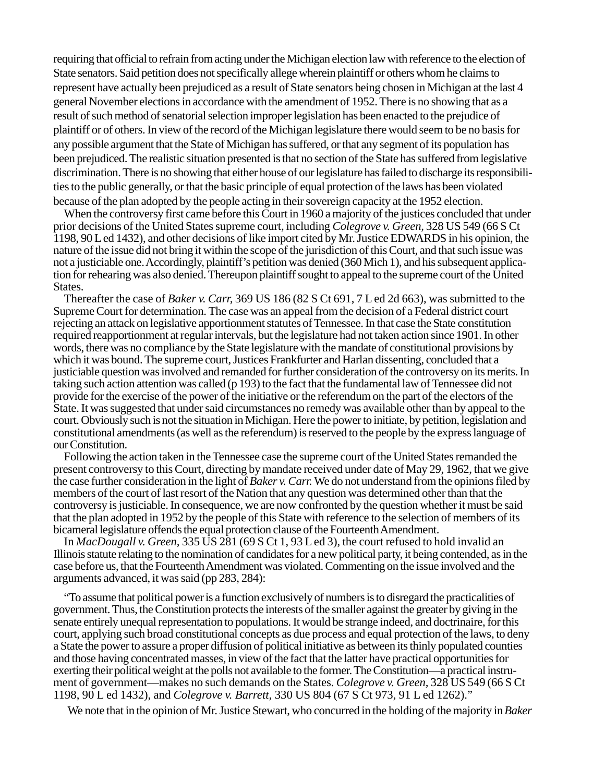requiring that official to refrain from acting under the Michigan election law with reference to the election of State senators. Said petition does not specifically allege wherein plaintiff or others whom he claims to represent have actually been prejudiced as a result of State senators being chosen in Michigan at the last 4 general November elections in accordance with the amendment of 1952. There is no showing that as a result of such method of senatorial selection improper legislation has been enacted to the prejudice of plaintiff or of others. In view of the record of the Michigan legislature there would seem to be no basis for any possible argument that the State of Michigan has suffered, or that any segment of its population has been prejudiced. The realistic situation presented is that no section of the State has suffered from legislative discrimination. There is no showing that either house of our legislature has failed to discharge its responsibilities to the public generally, or that the basic principle of equal protection of the laws has been violated because of the plan adopted by the people acting in their sovereign capacity at the 1952 election.

When the controversy first came before this Court in 1960 a majority of the justices concluded that under prior decisions of the United States supreme court, including *Colegrove v. Green,* 328 US 549 (66 S Ct 1198, 90 L ed 1432), and other decisions of like import cited by Mr. Justice EDWARDS in his opinion, the nature of the issue did not bring it within the scope of the jurisdiction of this Court, and that such issue was not a justiciable one. Accordingly, plaintiff's petition was denied (360 Mich 1), and his subsequent application for rehearing was also denied. Thereupon plaintiff sought to appeal to the supreme court of the United States.

Thereafter the case of *Baker v. Carr,* 369 US 186 (82 S Ct 691, 7 L ed 2d 663), was submitted to the Supreme Court for determination. The case was an appeal from the decision of a Federal district court rejecting an attack on legislative apportionment statutes of Tennessee. In that case the State constitution required reapportionment at regular intervals, but the legislature had not taken action since 1901. In other words, there was no compliance by the State legislature with the mandate of constitutional provisions by which it was bound. The supreme court, Justices Frankfurter and Harlan dissenting, concluded that a justiciable question was involved and remanded for further consideration of the controversy on its merits. In taking such action attention was called (p 193) to the fact that the fundamental law of Tennessee did not provide for the exercise of the power of the initiative or the referendum on the part of the electors of the State. It was suggested that under said circumstances no remedy was available other than by appeal to the court. Obviously such is not the situation in Michigan. Here the power to initiate, by petition, legislation and constitutional amendments (as well as the referendum) is reserved to the people by the express language of our Constitution.

Following the action taken in the Tennessee case the supreme court of the United States remanded the present controversy to this Court, directing by mandate received under date of May 29, 1962, that we give the case further consideration in the light of *Baker v. Carr.* We do not understand from the opinions filed by members of the court of last resort of the Nation that any question was determined other than that the controversy is justiciable. In consequence, we are now confronted by the question whether it must be said that the plan adopted in 1952 by the people of this State with reference to the selection of members of its bicameral legislature offends the equal protection clause of the Fourteenth Amendment.

In *MacDougall v. Green,* 335 US 281 (69 S Ct 1, 93 L ed 3), the court refused to hold invalid an Illinois statute relating to the nomination of candidates for a new political party, it being contended, as in the case before us, that the Fourteenth Amendment was violated. Commenting on the issue involved and the arguments advanced, it was said (pp 283, 284):

"To assume that political power is a function exclusively of numbers is to disregard the practicalities of government. Thus, the Constitution protects the interests of the smaller against the greater by giving in the senate entirely unequal representation to populations. It would be strange indeed, and doctrinaire, for this court, applying such broad constitutional concepts as due process and equal protection of the laws, to deny a State the power to assure a proper diffusion of political initiative as between its thinly populated counties and those having concentrated masses, in view of the fact that the latter have practical opportunities for exerting their political weight at the polls not available to the former. The Constitution—a practical instrument of government—makes no such demands on the States. *Colegrove v. Green,* 328 US 549 (66 S Ct 1198, 90 L ed 1432), and *Colegrove v. Barrett,* 330 US 804 (67 S Ct 973, 91 L ed 1262)."

We note that in the opinion of Mr. Justice Stewart, who concurred in the holding of the majority in *Baker*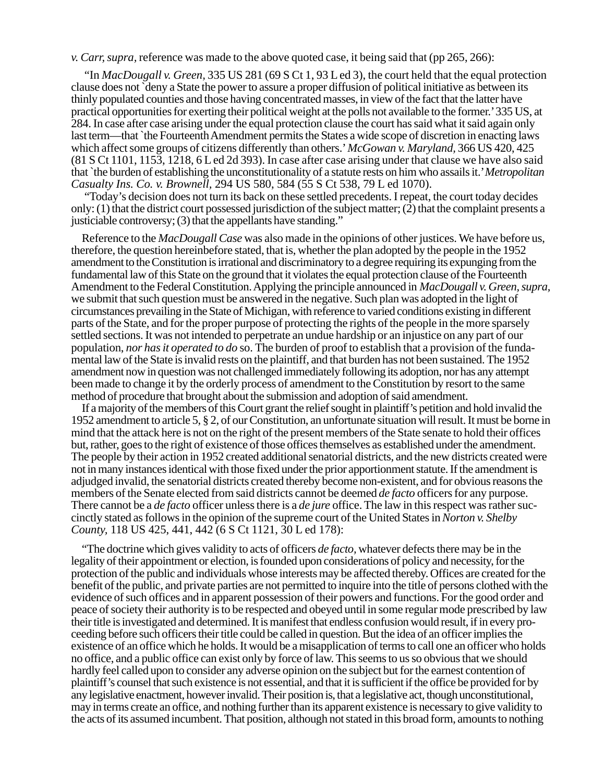*v. Carr, supra,* reference was made to the above quoted case, it being said that (pp 265, 266):

"In *MacDougall v. Green,* 335 US 281 (69 S Ct 1, 93 L ed 3), the court held that the equal protection clause does not `deny a State the power to assure a proper diffusion of political initiative as between its thinly populated counties and those having concentrated masses, in view of the fact that the latter have practical opportunities for exerting their political weight at the polls not available to the former.' 335 US, at 284. In case after case arising under the equal protection clause the court has said what it said again only last term—that `the Fourteenth Amendment permits the States a wide scope of discretion in enacting laws which affect some groups of citizens differently than others.' *McGowan v. Maryland,* 366 US 420, 425 (81 S Ct 1101, 1153, 1218, 6 L ed 2d 393). In case after case arising under that clause we have also said that `the burden of establishing the unconstitutionality of a statute rests on him who assails it.' *Metropolitan Casualty Ins. Co. v. Brownell,* 294 US 580, 584 (55 S Ct 538, 79 L ed 1070).

"Today's decision does not turn its back on these settled precedents. I repeat, the court today decides only: (1) that the district court possessed jurisdiction of the subject matter; (2) that the complaint presents a justiciable controversy; (3) that the appellants have standing."

Reference to the *MacDougall Case* was also made in the opinions of other justices. We have before us, therefore, the question hereinbefore stated, that is, whether the plan adopted by the people in the 1952 amendment to the Constitution is irrational and discriminatory to a degree requiring its expunging from the fundamental law of this State on the ground that it violates the equal protection clause of the Fourteenth Amendment to the Federal Constitution. Applying the principle announced in *MacDougall v. Green, supra,* we submit that such question must be answered in the negative. Such plan was adopted in the light of circumstances prevailing in the State of Michigan, with reference to varied conditions existing in different parts of the State, and for the proper purpose of protecting the rights of the people in the more sparsely settled sections. It was not intended to perpetrate an undue hardship or an injustice on any part of our population, *nor has it operated to do* so. The burden of proof to establish that a provision of the fundamental law of the State is invalid rests on the plaintiff, and that burden has not been sustained. The 1952 amendment now in question was not challenged immediately following its adoption, nor has any attempt been made to change it by the orderly process of amendment to the Constitution by resort to the same method of procedure that brought about the submission and adoption of said amendment.

If a majority of the members of this Court grant the relief sought in plaintiff's petition and hold invalid the 1952 amendment to article 5, § 2, of our Constitution, an unfortunate situation will result. It must be borne in mind that the attack here is not on the right of the present members of the State senate to hold their offices but, rather, goes to the right of existence of those offices themselves as established under the amendment. The people by their action in 1952 created additional senatorial districts, and the new districts created were not in many instances identical with those fixed under the prior apportionment statute. If the amendment is adjudged invalid, the senatorial districts created thereby become non-existent, and for obvious reasons the members of the Senate elected from said districts cannot be deemed *de facto* officers for any purpose. There cannot be a *de facto* officer unless there is a *de jure* office. The law in this respect was rather succinctly stated as follows in the opinion of the supreme court of the United States in *Norton v. Shelby County,* 118 US 425, 441, 442 (6 S Ct 1121, 30 L ed 178):

"The doctrine which gives validity to acts of officers *de facto,* whatever defects there may be in the legality of their appointment or election, is founded upon considerations of policy and necessity, for the protection of the public and individuals whose interests may be affected thereby. Offices are created for the benefit of the public, and private parties are not permitted to inquire into the title of persons clothed with the evidence of such offices and in apparent possession of their powers and functions. For the good order and peace of society their authority is to be respected and obeyed until in some regular mode prescribed by law their title is investigated and determined. It is manifest that endless confusion would result, if in every proceeding before such officers their title could be called in question. But the idea of an officer implies the existence of an office which he holds. It would be a misapplication of terms to call one an officer who holds no office, and a public office can exist only by force of law. This seems to us so obvious that we should hardly feel called upon to consider any adverse opinion on the subject but for the earnest contention of plaintiff's counsel that such existence is not essential, and that it is sufficient if the office be provided for by any legislative enactment, however invalid. Their position is, that a legislative act, though unconstitutional, may in terms create an office, and nothing further than its apparent existence is necessary to give validity to the acts of its assumed incumbent. That position, although not stated in this broad form, amounts to nothing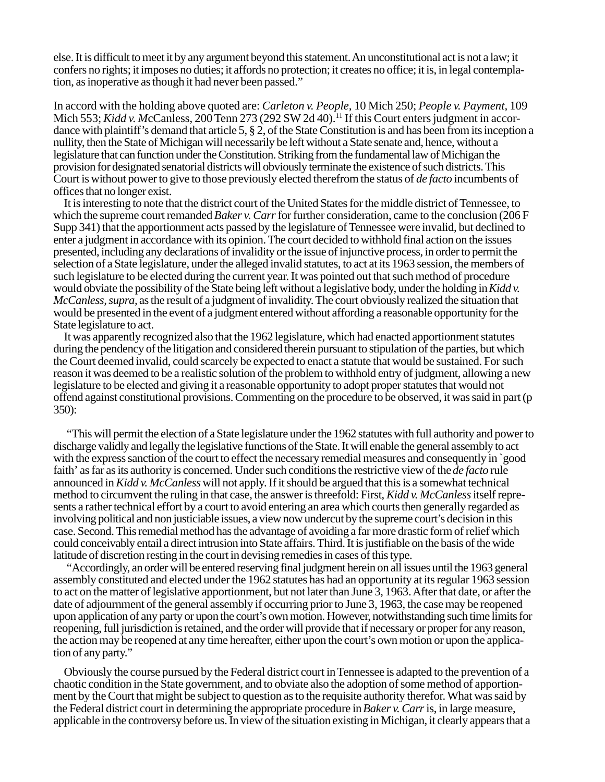else. It is difficult to meet it by any argument beyond this statement. An unconstitutional act is not a law; it confers no rights; it imposes no duties; it affords no protection; it creates no office; it is, in legal contemplation, as inoperative as though it had never been passed."

In accord with the holding above quoted are: *Carleton v. People,* 10 Mich 250; *People v. Payment,* 109 Mich 553; *Kidd v. McCanless, 200 Tenn 273 (292 SW 2d 40)*.<sup>11</sup> If this Court enters judgment in accordance with plaintiff's demand that article 5, § 2, of the State Constitution is and has been from its inception a nullity, then the State of Michigan will necessarily be left without a State senate and, hence, without a legislature that can function under the Constitution. Striking from the fundamental law of Michigan the provision for designated senatorial districts will obviously terminate the existence of such districts. This Court is without power to give to those previously elected therefrom the status of *de facto* incumbents of offices that no longer exist.

It is interesting to note that the district court of the United States for the middle district of Tennessee, to which the supreme court remanded *Baker v. Carr* for further consideration, came to the conclusion (206 F Supp 341) that the apportionment acts passed by the legislature of Tennessee were invalid, but declined to enter a judgment in accordance with its opinion. The court decided to withhold final action on the issues presented, including any declarations of invalidity or the issue of injunctive process, in order to permit the selection of a State legislature, under the alleged invalid statutes, to act at its 1963 session, the members of such legislature to be elected during the current year. It was pointed out that such method of procedure would obviate the possibility of the State being left without a legislative body, under the holding in *Kidd v. McCanless, supra,* as the result of a judgment of invalidity. The court obviously realized the situation that would be presented in the event of a judgment entered without affording a reasonable opportunity for the State legislature to act.

It was apparently recognized also that the 1962 legislature, which had enacted apportionment statutes during the pendency of the litigation and considered therein pursuant to stipulation of the parties, but which the Court deemed invalid, could scarcely be expected to enact a statute that would be sustained. For such reason it was deemed to be a realistic solution of the problem to withhold entry of judgment, allowing a new legislature to be elected and giving it a reasonable opportunity to adopt proper statutes that would not offend against constitutional provisions. Commenting on the procedure to be observed, it was said in part (p 350):

"This will permit the election of a State legislature under the 1962 statutes with full authority and power to discharge validly and legally the legislative functions of the State. It will enable the general assembly to act with the express sanction of the court to effect the necessary remedial measures and consequently in `good faith' as far as its authority is concerned. Under such conditions the restrictive view of the *de facto* rule announced in *Kidd v. McCanless* will not apply. If it should be argued that this is a somewhat technical method to circumvent the ruling in that case, the answer is threefold: First, *Kidd v. McCanless* itself represents a rather technical effort by a court to avoid entering an area which courts then generally regarded as involving political and non justiciable issues, a view now undercut by the supreme court's decision in this case. Second. This remedial method has the advantage of avoiding a far more drastic form of relief which could conceivably entail a direct intrusion into State affairs. Third. It is justifiable on the basis of the wide latitude of discretion resting in the court in devising remedies in cases of this type.

"Accordingly, an order will be entered reserving final judgment herein on all issues until the 1963 general assembly constituted and elected under the 1962 statutes has had an opportunity at its regular 1963 session to act on the matter of legislative apportionment, but not later than June 3, 1963. After that date, or after the date of adjournment of the general assembly if occurring prior to June 3, 1963, the case may be reopened upon application of any party or upon the court's own motion. However, notwithstanding such time limits for reopening, full jurisdiction is retained, and the order will provide that if necessary or proper for any reason, the action may be reopened at any time hereafter, either upon the court's own motion or upon the application of any party."

Obviously the course pursued by the Federal district court in Tennessee is adapted to the prevention of a chaotic condition in the State government, and to obviate also the adoption of some method of apportionment by the Court that might be subject to question as to the requisite authority therefor. What was said by the Federal district court in determining the appropriate procedure in *Baker v. Carr* is, in large measure, applicable in the controversy before us. In view of the situation existing in Michigan, it clearly appears that a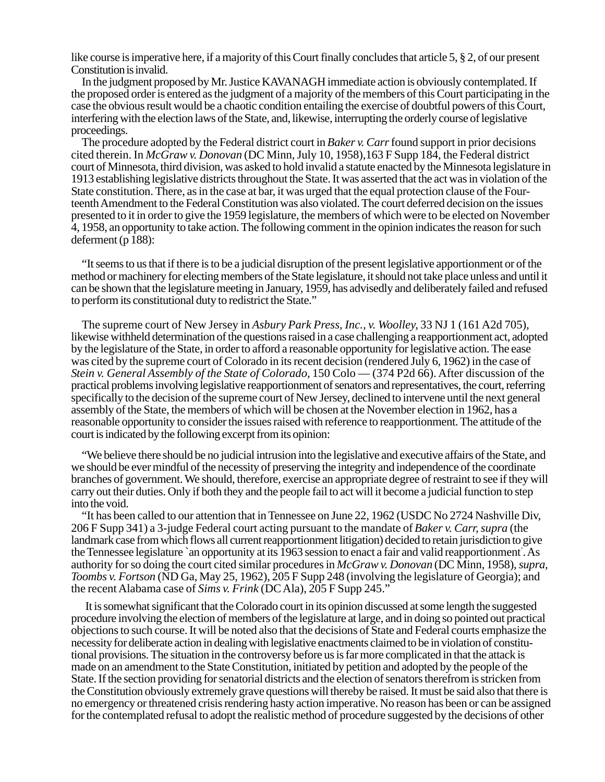like course is imperative here, if a majority of this Court finally concludes that article 5, § 2, of our present Constitution is invalid.

In the judgment proposed by Mr. Justice KAVANAGH immediate action is obviously contemplated. If the proposed order is entered as the judgment of a majority of the members of this Court participating in the case the obvious result would be a chaotic condition entailing the exercise of doubtful powers of this Court, interfering with the election laws of the State, and, likewise, interrupting the orderly course of legislative proceedings.

The procedure adopted by the Federal district court in *Baker v. Carr* found support in prior decisions cited therein. In *McGraw v. Donovan* (DC Minn, July 10, 1958),163 F Supp 184, the Federal district court of Minnesota, third division, was asked to hold invalid a statute enacted by the Minnesota legislature in 1913 establishing legislative districts throughout the State. It was asserted that the act was in violation of the State constitution. There, as in the case at bar, it was urged that the equal protection clause of the Fourteenth Amendment to the Federal Constitution was also violated. The court deferred decision on the issues presented to it in order to give the 1959 legislature, the members of which were to be elected on November 4, 1958, an opportunity to take action. The following comment in the opinion indicates the reason for such deferment (p 188):

"It seems to us that if there is to be a judicial disruption of the present legislative apportionment or of the method or machinery for electing members of the State legislature, it should not take place unless and until it can be shown that the legislature meeting in January, 1959, has advisedly and deliberately failed and refused to perform its constitutional duty to redistrict the State."

The supreme court of New Jersey in *Asbury Park Press, Inc., v. Woolley,* 33 NJ 1 (161 A2d 705), likewise withheld determination of the questions raised in a case challenging a reapportionment act, adopted by the legislature of the State, in order to afford a reasonable opportunity for legislative action. The ease was cited by the supreme court of Colorado in its recent decision (rendered July 6, 1962) in the case of *Stein v. General Assembly of the State of Colorado,* 150 Colo — (374 P2d 66). After discussion of the practical problems involving legislative reapportionment of senators and representatives, the court, referring specifically to the decision of the supreme court of New Jersey, declined to intervene until the next general assembly of the State, the members of which will be chosen at the November election in 1962, has a reasonable opportunity to consider the issues raised with reference to reapportionment. The attitude of the court is indicated by the following excerpt from its opinion:

"We believe there should be no judicial intrusion into the legislative and executive affairs of the State, and we should be ever mindful of the necessity of preserving the integrity and independence of the coordinate branches of government. We should, therefore, exercise an appropriate degree of restraint to see if they will carry out their duties. Only if both they and the people fail to act will it become a judicial function to step into the void.

"It has been called to our attention that in Tennessee on June 22, 1962 (USDC No 2724 Nashville Div, 206 F Supp 341) a 3-judge Federal court acting pursuant to the mandate of *Baker v. Carr, supra* (the landmark case from which flows all current reapportionment litigation) decided to retain jurisdiction to give the Tennessee legislature `an opportunity at its 1963 session to enact a fair and valid reapportionment' . As authority for so doing the court cited similar procedures in *McGraw v. Donovan* (DC Minn, 1958), *supra, Toombs v. Fortson* (ND Ga, May 25, 1962), 205 F Supp 248 (involving the legislature of Georgia); and the recent Alabama case of *Sims v. Frink* (DC Ala), 205 F Supp 245."

It is somewhat significant that the Colorado court in its opinion discussed at some length the suggested procedure involving the election of members of the legislature at large, and in doing so pointed out practical objections to such course. It will be noted also that the decisions of State and Federal courts emphasize the necessity for deliberate action in dealing with legislative enactments claimed to be in violation of constitutional provisions. The situation in the controversy before us is far more complicated in that the attack is made on an amendment to the State Constitution, initiated by petition and adopted by the people of the State. If the section providing for senatorial districts and the election of senators therefrom is stricken from the Constitution obviously extremely grave questions will thereby be raised. It must be said also that there is no emergency or threatened crisis rendering hasty action imperative. No reason has been or can be assigned for the contemplated refusal to adopt the realistic method of procedure suggested by the decisions of other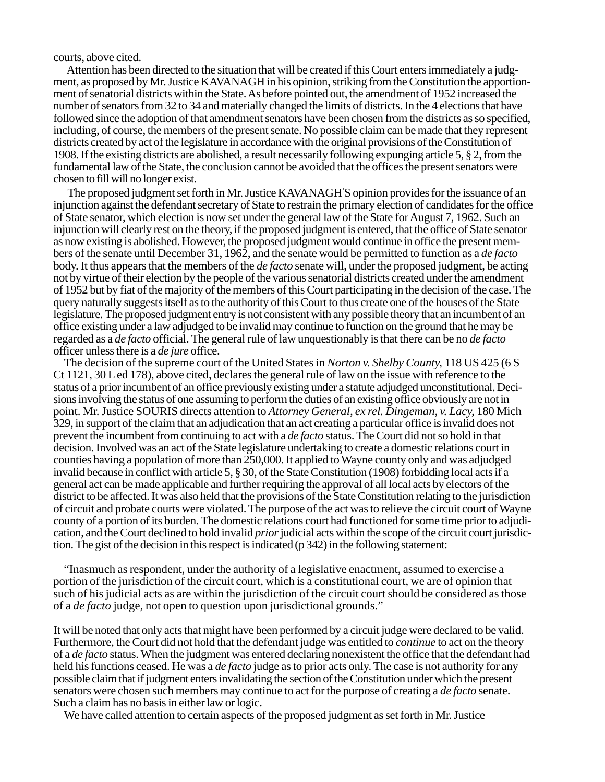courts, above cited.

Attention has been directed to the situation that will be created if this Court enters immediately a judgment, as proposed by Mr. Justice KAVANAGH in his opinion, striking from the Constitution the apportionment of senatorial districts within the State. As before pointed out, the amendment of 1952 increased the number of senators from 32 to 34 and materially changed the limits of districts. In the 4 elections that have followed since the adoption of that amendment senators have been chosen from the districts as so specified, including, of course, the members of the present senate. No possible claim can be made that they represent districts created by act of the legislature in accordance with the original provisions of the Constitution of 1908. If the existing districts are abolished, a result necessarily following expunging article 5, § 2, from the fundamental law of the State, the conclusion cannot be avoided that the offices the present senators were chosen to fill will no longer exist.

The proposed judgment set forth in Mr. Justice KAVANAGH' S opinion provides for the issuance of an injunction against the defendant secretary of State to restrain the primary election of candidates for the office of State senator, which election is now set under the general law of the State for August 7, 1962. Such an injunction will clearly rest on the theory, if the proposed judgment is entered, that the office of State senator as now existing is abolished. However, the proposed judgment would continue in office the present members of the senate until December 31, 1962, and the senate would be permitted to function as a *de facto* body. It thus appears that the members of the *de facto* senate will, under the proposed judgment, be acting not by virtue of their election by the people of the various senatorial districts created under the amendment of 1952 but by fiat of the majority of the members of this Court participating in the decision of the case. The query naturally suggests itself as to the authority of this Court to thus create one of the houses of the State legislature. The proposed judgment entry is not consistent with any possible theory that an incumbent of an office existing under a law adjudged to be invalid may continue to function on the ground that he may be regarded as a *de facto* official. The general rule of law unquestionably is that there can be no *de facto* officer unless there is a *de jure* office.

The decision of the supreme court of the United States in *Norton v. Shelby County,* 118 US 425 (6 S Ct 1121, 30 L ed 178), above cited, declares the general rule of law on the issue with reference to the status of a prior incumbent of an office previously existing under a statute adjudged unconstitutional. Decisions involving the status of one assuming to perform the duties of an existing office obviously are not in point. Mr. Justice SOURIS directs attention to *Attorney General, ex rel. Dingeman, v. Lacy,* 180 Mich 329, in support of the claim that an adjudication that an act creating a particular office is invalid does not prevent the incumbent from continuing to act with a *de facto* status. The Court did not so hold in that decision. Involved was an act of the State legislature undertaking to create a domestic relations court in counties having a population of more than 250,000. It applied to Wayne county only and was adjudged invalid because in conflict with article 5, § 30, of the State Constitution (1908) forbidding local acts if a general act can be made applicable and further requiring the approval of all local acts by electors of the district to be affected. It was also held that the provisions of the State Constitution relating to the jurisdiction of circuit and probate courts were violated. The purpose of the act was to relieve the circuit court of Wayne county of a portion of its burden. The domestic relations court had functioned for some time prior to adjudication, and the Court declined to hold invalid *prior* judicial acts within the scope of the circuit court jurisdiction. The gist of the decision in this respect is indicated (p 342) in the following statement:

"Inasmuch as respondent, under the authority of a legislative enactment, assumed to exercise a portion of the jurisdiction of the circuit court, which is a constitutional court, we are of opinion that such of his judicial acts as are within the jurisdiction of the circuit court should be considered as those of a *de facto* judge, not open to question upon jurisdictional grounds."

It will be noted that only acts that might have been performed by a circuit judge were declared to be valid. Furthermore, the Court did not hold that the defendant judge was entitled to *continue* to act on the theory of a *de facto* status. When the judgment was entered declaring nonexistent the office that the defendant had held his functions ceased. He was a *de facto* judge as to prior acts only. The case is not authority for any possible claim that if judgment enters invalidating the section of the Constitution under which the present senators were chosen such members may continue to act for the purpose of creating a *de facto* senate. Such a claim has no basis in either law or logic.

We have called attention to certain aspects of the proposed judgment as set forth in Mr. Justice